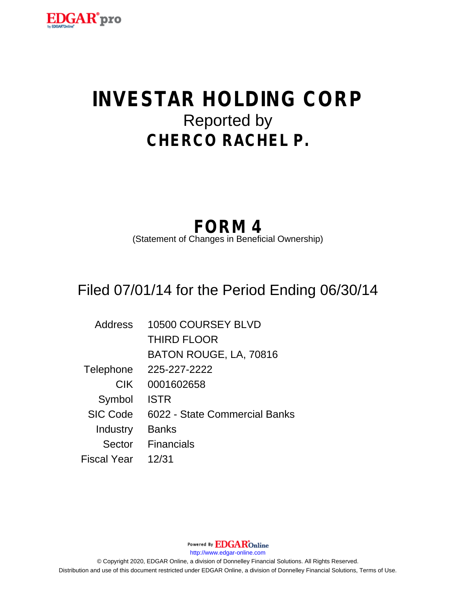

# **INVESTAR HOLDING CORP** Reported by **CHERCO RACHEL P.**

## **FORM 4**

(Statement of Changes in Beneficial Ownership)

## Filed 07/01/14 for the Period Ending 06/30/14

| <b>Address</b>  | 10500 COURSEY BLVD            |
|-----------------|-------------------------------|
|                 | <b>THIRD FLOOR</b>            |
|                 | BATON ROUGE, LA, 70816        |
| Telephone       | 225-227-2222                  |
| <b>CIK</b>      | 0001602658                    |
| Symbol          | <b>ISTR</b>                   |
| <b>SIC Code</b> | 6022 - State Commercial Banks |
| Industry        | <b>Banks</b>                  |
| Sector          | <b>Financials</b>             |
| Fiscal Year     | 12/31                         |

Powered By **EDGAR**Online http://www.edgar-online.com © Copyright 2020, EDGAR Online, a division of Donnelley Financial Solutions. All Rights Reserved. Distribution and use of this document restricted under EDGAR Online, a division of Donnelley Financial Solutions, Terms of Use.